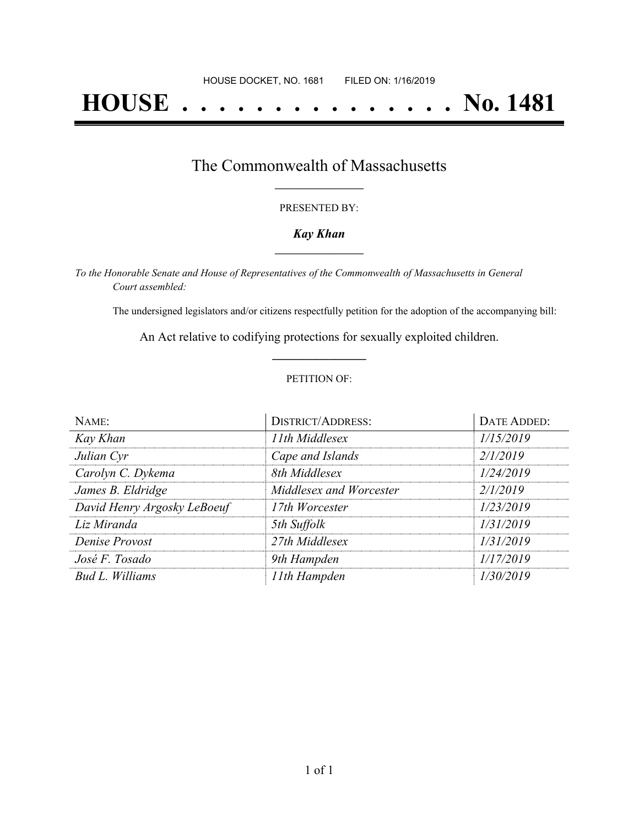# **HOUSE . . . . . . . . . . . . . . . No. 1481**

### The Commonwealth of Massachusetts **\_\_\_\_\_\_\_\_\_\_\_\_\_\_\_\_\_**

#### PRESENTED BY:

#### *Kay Khan* **\_\_\_\_\_\_\_\_\_\_\_\_\_\_\_\_\_**

*To the Honorable Senate and House of Representatives of the Commonwealth of Massachusetts in General Court assembled:*

The undersigned legislators and/or citizens respectfully petition for the adoption of the accompanying bill:

An Act relative to codifying protections for sexually exploited children. **\_\_\_\_\_\_\_\_\_\_\_\_\_\_\_**

#### PETITION OF:

| NAME:                       | <b>DISTRICT/ADDRESS:</b> | DATE ADDED: |
|-----------------------------|--------------------------|-------------|
| Kay Khan                    | 11th Middlesex           | 1/15/2019   |
| Julian Cyr                  | Cape and Islands         | 2/1/2019    |
| Carolyn C. Dykema           | 8th Middlesex            | 1/24/2019   |
| James B. Eldridge           | Middlesex and Worcester  | 2/1/2019    |
| David Henry Argosky LeBoeuf | 17th Worcester           | 1/23/2019   |
| Liz Miranda                 | 5th Suffolk              | 1/31/2019   |
| Denise Provost              | 27th Middlesex           | 1/31/2019   |
| José F. Tosado              | 9th Hampden              | 1/17/2019   |
| Bud L. Williams             | 11th Hampden             | 1/30/2019   |